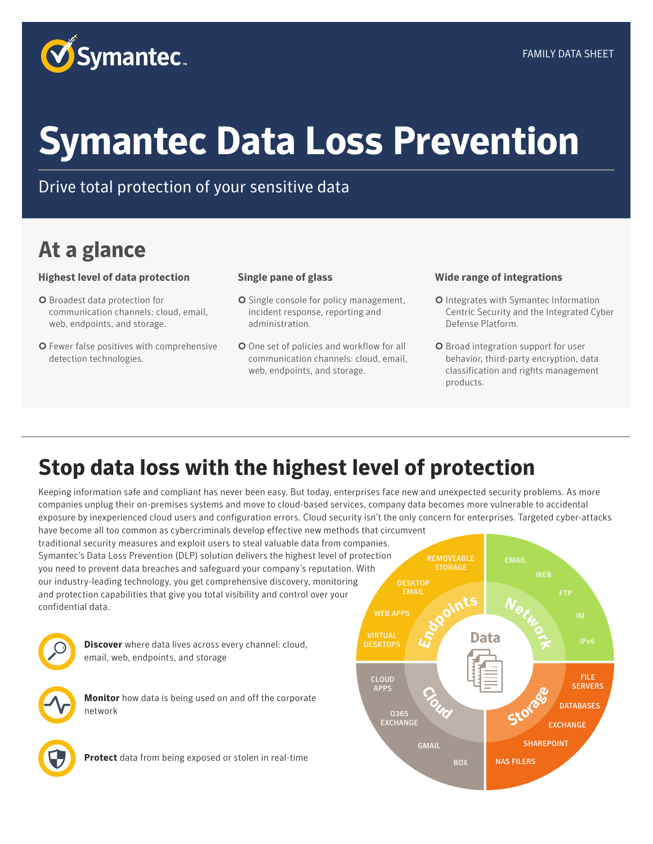

## **Symantec Data Loss Prevention**

#### Drive total protection of your sensitive data

## **At a glance**

#### **Highest level of data protection**

- ¢ Broadest data protection for communication channels: cloud, email, web, endpoints, and storage.
- O Fewer false positives with comprehensive detection technologies.

#### **Single pane of glass**

- **O** Single console for policy management, incident response, reporting and administration.
- **O** One set of policies and workflow for all communication channels: cloud, email, web, endpoints, and storage.

#### **Wide range of integrations**

- ¢ Integrates with Symantec Information Centric Security and the Integrated Cyber Defense Platform.
- ¢ Broad integration support for user behavior, third-party encryption, data classification and rights management products.

EMAIL

### **Stop data loss with the highest level of protection**

Keeping information safe and compliant has never been easy. But today, enterprises face new and unexpected security problems. As more companies unplug their on-premises systems and move to cloud-based services, company data becomes more vulnerable to accidental exposure by inexperienced cloud users and configuration errors. Cloud security isn't the only concern for enterprises. Targeted cyber-attacks

have become all too common as cybercriminals develop effective new methods that circumvent traditional security measures and exploit users to steal valuable data from companies. Symantec's Data Loss Prevention (DLP) solution delivers the highest level of protection you need to prevent data breaches and safeguard your company's reputation. With our industry-leading technology, you get comprehensive discovery, monitoring and protection capabilities that give you total visibility and control over your confidential data.



**Discover** where data lives across every channel: cloud, email, web, endpoints, and storage

**Monitor** how data is being used on and off the corporate network

**Protect** data from being exposed or stolen in real-time



REMOVEABLE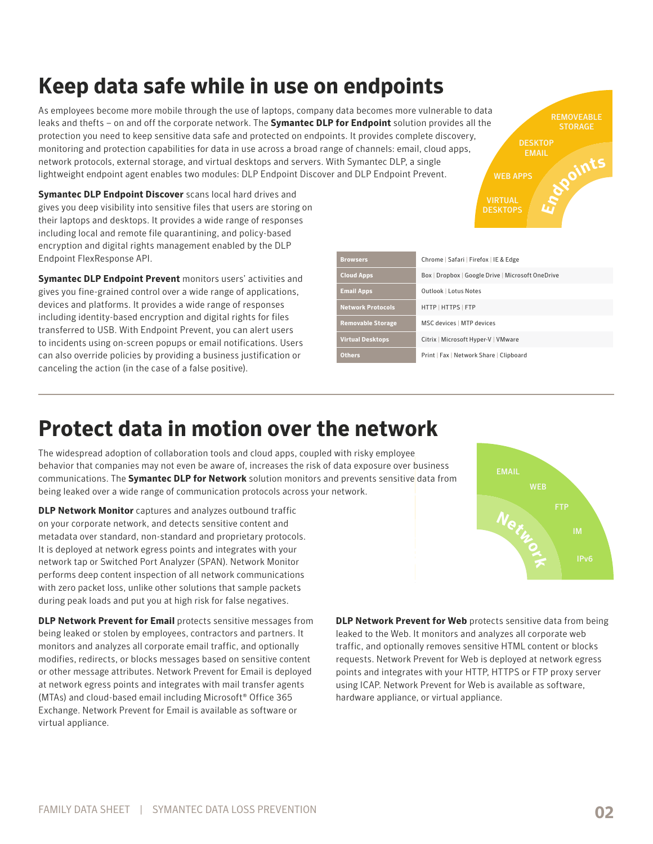## **Keep data safe while in use on endpoints**

As employees become more mobile through the use of laptops, company data becomes more vulnerable to data leaks and thefts – on and off the corporate network. The **Symantec DLP for Endpoint** solution provides all the protection you need to keep sensitive data safe and protected on endpoints. It provides complete discovery, monitoring and protection capabilities for data in use across a broad range of channels: email, cloud apps, network protocols, external storage, and virtual desktops and servers. With Symantec DLP, a single lightweight endpoint agent enables two modules: DLP Endpoint Discover and DLP Endpoint Prevent.

**Symantec DLP Endpoint Discover** scans local hard drives and gives you deep visibility into sensitive files that users are storing on their laptops and desktops. It provides a wide range of responses including local and remote file quarantining, and policy-based encryption and digital rights management enabled by the DLP Endpoint FlexResponse API.

**Symantec DLP Endpoint Prevent** monitors users' activities and gives you fine-grained control over a wide range of applications, devices and platforms. It provides a wide range of responses including identity-based encryption and digital rights for files transferred to USB. With Endpoint Prevent, you can alert users to incidents using on-screen popups or email notifications. Users can also override policies by providing a business justification or canceling the action (in the case of a false positive).

| <b>Browsers</b>          | Chrome   Safari   Firefox   IE & Edge             |
|--------------------------|---------------------------------------------------|
| <b>Cloud Apps</b>        | Box   Dropbox   Google Drive   Microsoft OneDrive |
| <b>Email Apps</b>        | Outlook   Lotus Notes                             |
| <b>Network Protocols</b> | HTTP   HTTPS   FTP                                |
| <b>Removable Storage</b> | MSC devices   MTP devices                         |
| <b>Virtual Desktops</b>  | Citrix   Microsoft Hyper-V   VMware               |
| Others.                  | Print   Fax   Network Share   Clipboard           |

#### **Protect data in motion over the network**

behavior that companies may not even be aware of, increases the risk of data exposure over business communications. The Symantec DLP for Network solution monitors and prevents sensitive data from The widespread adoption of collaboration tools and cloud apps, coupled with risky employee being leaked over a wide range of communication protocols across your network.

**DLP Network Monitor** captures and analyzes outbound traffic on your corporate network, and detects sensitive content and metadata over standard, non-standard and proprietary protocols. It is deployed at network egress points and integrates with your network tap or Switched Port Analyzer (SPAN). Network Monitor performs deep content inspection of all network communications with zero packet loss, unlike other solutions that sample packets during peak loads and put you at high risk for false negatives.

**DLP Network Prevent for Email** protects sensitive messages from being leaked or stolen by employees, contractors and partners. It monitors and analyzes all corporate email traffic, and optionally modifies, redirects, or blocks messages based on sensitive content or other message attributes. Network Prevent for Email is deployed at network egress points and integrates with mail transfer agents (MTAs) and cloud-based email including Microsoft® Office 365 Exchange. Network Prevent for Email is available as software or virtual appliance.

**event for Web** protects sensitive<br>L lt monitors and analyzes all corp<br>hally removes sensitive HTML cont leaked to the Web. It monitors and analyzes all corporate web traffic, and optionally removes sensitive HTML content or blocks points and integrates with your HTTP, HTTPS or FTP proxy server using ICAP. Network Prevent for Web is available as software, **DLP Network Prevent for Web** protects sensitive data from being requests. Network Prevent for Web is deployed at network egress hardware appliance, or virtual appliance.



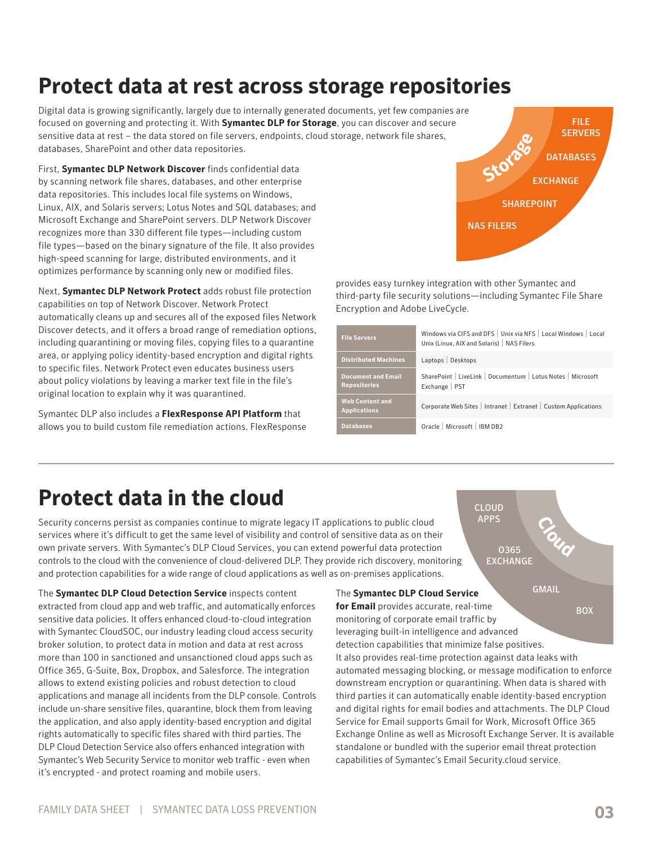# **Protect data at rest across storage repositories**

sensitive data at rest – the data stored on file servers, endpoints, cloud storage, network file shares,<br>databases, SharePoint and other data repositories.<br>First, **Symantec DLP Network Discover** finds confidential data focused on governing and protecting it. With **Symantec DLP for Storage**, you can discover and secure Digital data is growing significantly, largely due to internally generated documents, yet few companies are databases, SharePoint and other data repositories.

First, **Symantec DLP Network Discover** finds confidential data by scanning network file shares, databases, and other enterprise data repositories. This includes local file systems on Windows, Linux, AIX, and Solaris servers; Lotus Notes and SQL databases; and Microsoft Exchange and SharePoint servers. DLP Network Discover recognizes more than 330 different file types—including custom file types—based on the binary signature of the file. It also provides high-speed scanning for large, distributed environments, and it optimizes performance by scanning only new or modified files.

Next, **Symantec DLP Network Protect** adds robust file protection capabilities on top of Network Discover. Network Protect automatically cleans up and secures all of the exposed files Network Discover detects, and it offers a broad range of remediation options, including quarantining or moving files, copying files to a quarantine area, or applying policy identity-based encryption and digital rights to specific files. Network Protect even educates business users about policy violations by leaving a marker text file in the file's original location to explain why it was quarantined.

Symantec DLP also includes a **FlexResponse API Platform** that allows you to build custom file remediation actions. FlexResponse



**Cloud**

**GMAIL** 

provides easy turnkey integration with other Symantec and third-party file security solutions—including Symantec File Share Encryption and Adobe LiveCycle.

| <b>File Servers</b>                              | Windows via CIFS and DFS   Unix via NFS   Local Windows   Local<br>Unix (Linux, AIX and Solaris)   NAS Filers |
|--------------------------------------------------|---------------------------------------------------------------------------------------------------------------|
| <b>Distributed Machines</b>                      | Laptops   Desktops                                                                                            |
| <b>Document and Email</b><br><b>Repositories</b> | SharePoint   LiveLink   Documentum   Lotus Notes   Microsoft<br>Exchange   PST                                |
| <b>Web Content and</b><br><b>Applications</b>    | Corporate Web Sites   Intranet   Extranet   Custom Applications                                               |
| <b>Databases</b>                                 | Oracle   Microsoft   IBM DB2                                                                                  |
|                                                  |                                                                                                               |
|                                                  |                                                                                                               |

CLOUD APPS

> O365 **EXCHANGE**

#### **Protect data in the cloud**

Security concerns persist as companies continue to migrate legacy IT applications to public cloud services where it's difficult to get the same level of visibility and control of sensitive data as on their own private servers. With Symantec's DLP Cloud Services, you can extend powerful data protection controls to the cloud with the convenience of cloud-delivered DLP. They provide rich discovery, monitoring and protection capabilities for a wide range of cloud applications as well as on-premises applications.

The **Symantec DLP Cloud Detection Service** inspects content extracted from cloud app and web traffic, and automatically enforces sensitive data policies. It offers enhanced cloud-to-cloud integration with Symantec CloudSOC, our industry leading cloud access security broker solution, to protect data in motion and data at rest across more than 100 in sanctioned and unsanctioned cloud apps such as Office 365, G-Suite, Box, Dropbox, and Salesforce. The integration allows to extend existing policies and robust detection to cloud applications and manage all incidents from the DLP console. Controls include un-share sensitive files, quarantine, block them from leaving the application, and also apply identity-based encryption and digital rights automatically to specific files shared with third parties. The DLP Cloud Detection Service also offers enhanced integration with Symantec's Web Security Service to monitor web traffic - even when it's encrypted - and protect roaming and mobile users.

#### The **Symantec DLP Cloud Service**

**BOX for Email** provides accurate, real-time monitoring of corporate email traffic by leveraging built-in intelligence and advanced detection capabilities that minimize false positives. It also provides real-time protection against data leaks with automated messaging blocking, or message modification to enforce downstream encryption or quarantining. When data is shared with third parties it can automatically enable identity-based encryption and digital rights for email bodies and attachments. The DLP Cloud Service for Email supports Gmail for Work, Microsoft Office 365 Exchange Online as well as Microsoft Exchange Server. It is available standalone or bundled with the superior email threat protection capabilities of Symantec's Email Security.cloud service.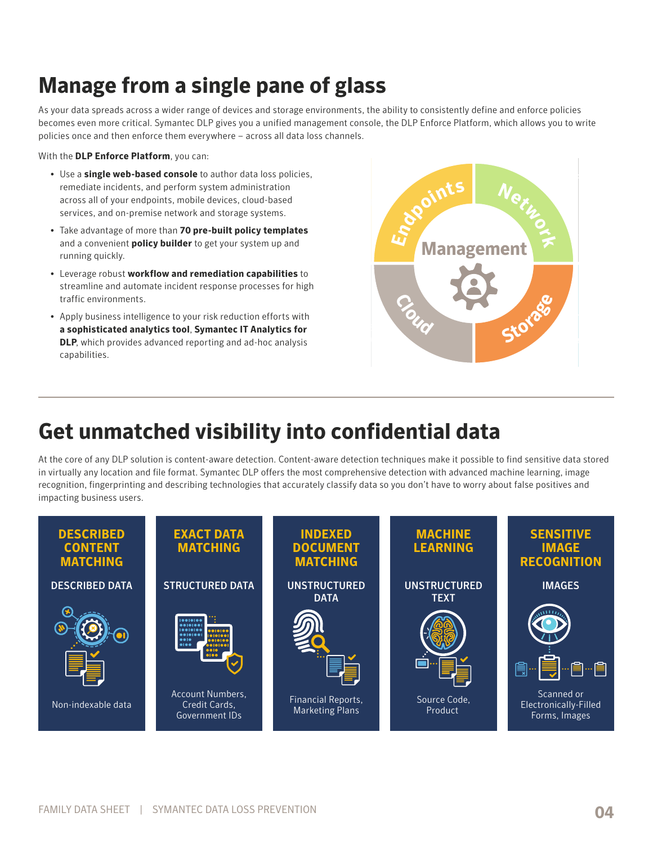## **Manage from a single pane of glass**

As your data spreads across a wider range of devices and storage environments, the ability to consistently define and enforce policies becomes even more critical. Symantec DLP gives you a unified management console, the DLP Enforce Platform, which allows you to write policies once and then enforce them everywhere – across all data loss channels.

With the **DLP Enforce Platform**, you can:

- Use a **single web-based console** to author data loss policies, remediate incidents, and perform system administration across all of your endpoints, mobile devices, cloud-based services, and on-premise network and storage systems.
- Take advantage of more than **70 pre-built policy templates** and a convenient **policy builder** to get your system up and running quickly.
- Leverage robust **workflow and remediation capabilities** to streamline and automate incident response processes for high traffic environments.
- Apply business intelligence to your risk reduction efforts with **a sophisticated analytics tool**, **Symantec IT Analytics for DLP**, which provides advanced reporting and ad-hoc analysis capabilities.



## **Get unmatched visibility into confidential data**

At the core of any DLP solution is content-aware detection. Content-aware detection techniques make it possible to find sensitive data stored in virtually any location and file format. Symantec DLP offers the most comprehensive detection with advanced machine learning, image recognition, fingerprinting and describing technologies that accurately classify data so you don't have to worry about false positives and impacting business users.

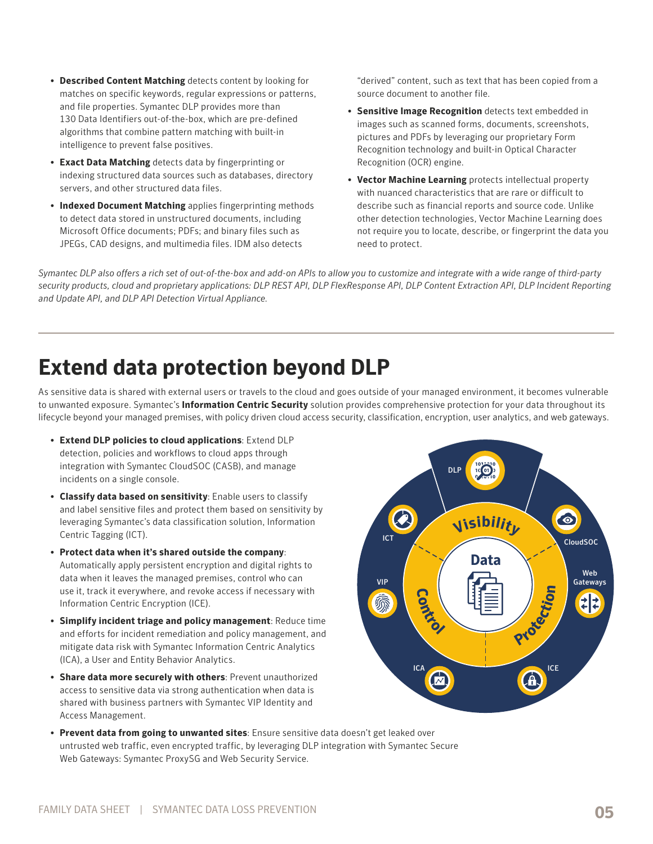- **Described Content Matching** detects content by looking for matches on specific keywords, regular expressions or patterns, and file properties. Symantec DLP provides more than 130 Data Identifiers out-of-the-box, which are pre-defined algorithms that combine pattern matching with built-in intelligence to prevent false positives.
- **Exact Data Matching** detects data by fingerprinting or indexing structured data sources such as databases, directory servers, and other structured data files.
- **Indexed Document Matching** applies fingerprinting methods to detect data stored in unstructured documents, including Microsoft Office documents; PDFs; and binary files such as JPEGs, CAD designs, and multimedia files. IDM also detects

"derived" content, such as text that has been copied from a source document to another file.

- **Sensitive Image Recognition** detects text embedded in images such as scanned forms, documents, screenshots, pictures and PDFs by leveraging our proprietary Form Recognition technology and built-in Optical Character Recognition (OCR) engine.
- **Vector Machine Learning** protects intellectual property with nuanced characteristics that are rare or difficult to describe such as financial reports and source code. Unlike other detection technologies, Vector Machine Learning does not require you to locate, describe, or fingerprint the data you need to protect.

*Symantec DLP also offers a rich set of out-of-the-box and add-on APIs to allow you to customize and integrate with a wide range of third-party security products, cloud and proprietary applications: DLP REST API, DLP FlexResponse API, DLP Content Extraction API, DLP Incident Reporting and Update API, and DLP API Detection Virtual Appliance.*

## **Extend data protection beyond DLP**

As sensitive data is shared with external users or travels to the cloud and goes outside of your managed environment, it becomes vulnerable to unwanted exposure. Symantec's **Information Centric Security** solution provides comprehensive protection for your data throughout its lifecycle beyond your managed premises, with policy driven cloud access security, classification, encryption, user analytics, and web gateways.

- **Extend DLP policies to cloud applications**: Extend DLP detection, policies and workflows to cloud apps through integration with Symantec CloudSOC (CASB), and manage incidents on a single console.
- **Classify data based on sensitivity**: Enable users to classify and label sensitive files and protect them based on sensitivity by leveraging Symantec's data classification solution, Information Centric Tagging (ICT).
- **Protect data when it's shared outside the company**: Automatically apply persistent encryption and digital rights to data when it leaves the managed premises, control who can use it, track it everywhere, and revoke access if necessary with Information Centric Encryption (ICE).
- **Simplify incident triage and policy management**: Reduce time and efforts for incident remediation and policy management, and mitigate data risk with Symantec Information Centric Analytics (ICA), a User and Entity Behavior Analytics.
- **Share data more securely with others**: Prevent unauthorized access to sensitive data via strong authentication when data is shared with business partners with Symantec VIP Identity and Access Management.



• **Prevent data from going to unwanted sites**: Ensure sensitive data doesn't get leaked over untrusted web traffic, even encrypted traffic, by leveraging DLP integration with Symantec Secure Web Gateways: Symantec ProxySG and Web Security Service.